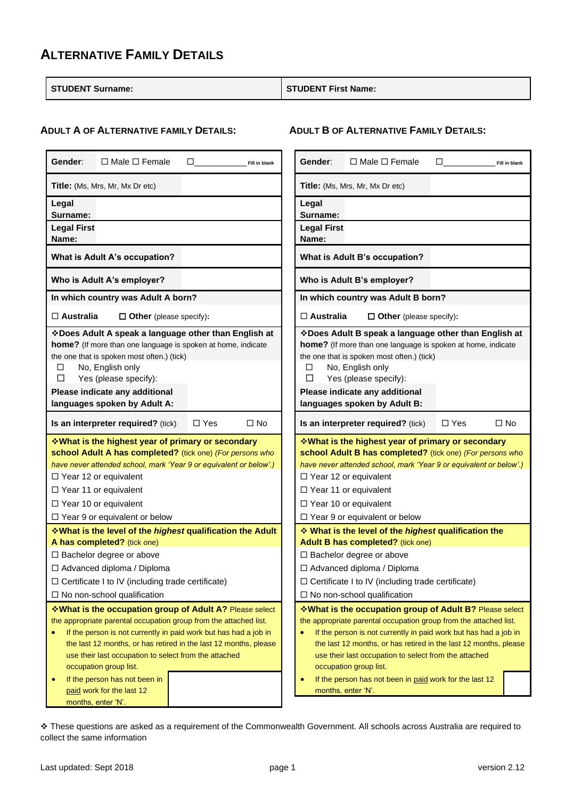### **ALTERNATIVE FAMILY DETAILS**

**STUDENT Surname: STUDENT First Name:**

**ADULT B OF ALTERNATIVE FAMILY DETAILS:**

### **ADULT A OF ALTERNATIVE FAMILY DETAILS:**

| Gender:                     | $\Box$ Male $\Box$ Female                                                                                                                                                                                                                                                                                                                                                                | □          | Fill in blank | Gender:                     | $\Box$ Male $\Box$ Female                                                                                                                                                                                                                                                                                                                                                                                          | □          | Fill in blank |
|-----------------------------|------------------------------------------------------------------------------------------------------------------------------------------------------------------------------------------------------------------------------------------------------------------------------------------------------------------------------------------------------------------------------------------|------------|---------------|-----------------------------|--------------------------------------------------------------------------------------------------------------------------------------------------------------------------------------------------------------------------------------------------------------------------------------------------------------------------------------------------------------------------------------------------------------------|------------|---------------|
|                             | <b>Title:</b> (Ms, Mrs, Mr, Mx Dr etc)                                                                                                                                                                                                                                                                                                                                                   |            |               |                             | <b>Title:</b> (Ms, Mrs, Mr, Mx Dr etc)                                                                                                                                                                                                                                                                                                                                                                             |            |               |
| Legal<br>Surname:           |                                                                                                                                                                                                                                                                                                                                                                                          |            |               | Legal<br>Surname:           |                                                                                                                                                                                                                                                                                                                                                                                                                    |            |               |
| <b>Legal First</b><br>Name: |                                                                                                                                                                                                                                                                                                                                                                                          |            |               | <b>Legal First</b><br>Name: |                                                                                                                                                                                                                                                                                                                                                                                                                    |            |               |
|                             | What is Adult A's occupation?                                                                                                                                                                                                                                                                                                                                                            |            |               |                             | What is Adult B's occupation?                                                                                                                                                                                                                                                                                                                                                                                      |            |               |
|                             | Who is Adult A's employer?                                                                                                                                                                                                                                                                                                                                                               |            |               |                             | Who is Adult B's employer?                                                                                                                                                                                                                                                                                                                                                                                         |            |               |
|                             | In which country was Adult A born?                                                                                                                                                                                                                                                                                                                                                       |            |               |                             | In which country was Adult B born?                                                                                                                                                                                                                                                                                                                                                                                 |            |               |
| $\Box$ Australia            | $\Box$ Other (please specify):                                                                                                                                                                                                                                                                                                                                                           |            |               | $\Box$ Australia            | $\Box$ Other (please specify):                                                                                                                                                                                                                                                                                                                                                                                     |            |               |
| □<br>$\Box$                 | ❖ Does Adult A speak a language other than English at<br>home? (If more than one language is spoken at home, indicate<br>the one that is spoken most often.) (tick)<br>No, English only<br>Yes (please specify):<br>Please indicate any additional<br>languages spoken by Adult A:                                                                                                       |            |               | □<br>□                      | ❖ Does Adult B speak a language other than English at<br>home? (If more than one language is spoken at home, indicate<br>the one that is spoken most often.) (tick)<br>No, English only<br>Yes (please specify):<br>Please indicate any additional<br>languages spoken by Adult B:                                                                                                                                 |            |               |
|                             | Is an interpreter required? (tick)                                                                                                                                                                                                                                                                                                                                                       | $\Box$ Yes | $\Box$ No     |                             | Is an interpreter required? (tick)                                                                                                                                                                                                                                                                                                                                                                                 | $\Box$ Yes | $\Box$ No     |
|                             | <b>What is the highest year of primary or secondary</b>                                                                                                                                                                                                                                                                                                                                  |            |               |                             | ❖ What is the highest year of primary or secondary                                                                                                                                                                                                                                                                                                                                                                 |            |               |
|                             | school Adult A has completed? (tick one) (For persons who<br>have never attended school, mark 'Year 9 or equivalent or below'.)<br>$\Box$ Year 12 or equivalent<br>□ Year 11 or equivalent<br>$\Box$ Year 10 or equivalent                                                                                                                                                               |            |               |                             | school Adult B has completed? (tick one) (For persons who<br>have never attended school, mark 'Year 9 or equivalent or below'.)<br>$\Box$ Year 12 or equivalent<br>□ Year 11 or equivalent<br>$\Box$ Year 10 or equivalent                                                                                                                                                                                         |            |               |
|                             | $\Box$ Year 9 or equivalent or below                                                                                                                                                                                                                                                                                                                                                     |            |               |                             | $\Box$ Year 9 or equivalent or below                                                                                                                                                                                                                                                                                                                                                                               |            |               |
|                             | <b>What is the level of the highest qualification the Adult</b><br>A has completed? (tick one)                                                                                                                                                                                                                                                                                           |            |               |                             | What is the level of the highest qualification the<br>Adult B has completed? (tick one)                                                                                                                                                                                                                                                                                                                            |            |               |
|                             | □ Bachelor degree or above                                                                                                                                                                                                                                                                                                                                                               |            |               |                             | □ Bachelor degree or above                                                                                                                                                                                                                                                                                                                                                                                         |            |               |
|                             | □ Advanced diploma / Diploma                                                                                                                                                                                                                                                                                                                                                             |            |               |                             | □ Advanced diploma / Diploma                                                                                                                                                                                                                                                                                                                                                                                       |            |               |
|                             | $\Box$ Certificate I to IV (including trade certificate)                                                                                                                                                                                                                                                                                                                                 |            |               |                             | $\Box$ Certificate I to IV (including trade certificate)                                                                                                                                                                                                                                                                                                                                                           |            |               |
|                             | $\Box$ No non-school qualification                                                                                                                                                                                                                                                                                                                                                       |            |               |                             | $\Box$ No non-school qualification                                                                                                                                                                                                                                                                                                                                                                                 |            |               |
| $\bullet$                   | *What is the occupation group of Adult A? Please select<br>the appropriate parental occupation group from the attached list.<br>If the person is not currently in paid work but has had a job in<br>the last 12 months, or has retired in the last 12 months, please<br>use their last occupation to select from the attached<br>occupation group list.<br>If the person has not been in |            |               | $\bullet$<br>$\bullet$      | *What is the occupation group of Adult B? Please select<br>the appropriate parental occupation group from the attached list.<br>If the person is not currently in paid work but has had a job in<br>the last 12 months, or has retired in the last 12 months, please<br>use their last occupation to select from the attached<br>occupation group list.<br>If the person has not been in paid work for the last 12 |            |               |

❖ These questions are asked as a requirement of the Commonwealth Government. All schools across Australia are required to collect the same information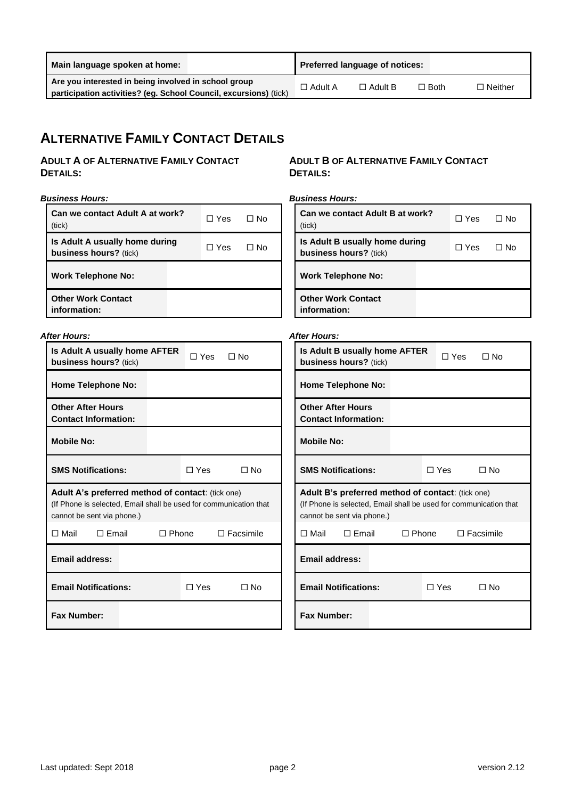| Are you interested in being involved in school group                                |                |        |                |
|-------------------------------------------------------------------------------------|----------------|--------|----------------|
| $\Box$ Adult A<br>participation activities? (eg. School Council, excursions) (tick) | $\Box$ Adult B | □ Both | $\Box$ Neither |

# **ALTERNATIVE FAMILY CONTACT DETAILS**

### **ADULT A OF ALTERNATIVE FAMILY CONTACT DETAILS:**

#### *Business Hours:*

| Can we contact Adult A at work?<br>(tick)                | $\Box$ Yes | ΠN∩ |
|----------------------------------------------------------|------------|-----|
| Is Adult A usually home during<br>business hours? (tick) | ∩ Yes      | ΠN∩ |
| <b>Work Telephone No:</b>                                |            |     |
| <b>Other Work Contact</b><br>information:                |            |     |

#### *After Hours:*

| Is Adult A usually home AFTER<br><b>business hours?</b> (tick)                                                                                              | ∃ Yes ⊺<br>∩ No                     |
|-------------------------------------------------------------------------------------------------------------------------------------------------------------|-------------------------------------|
| <b>Home Telephone No:</b>                                                                                                                                   |                                     |
| <b>Other After Hours</b><br><b>Contact Information:</b>                                                                                                     |                                     |
| <b>Mobile No:</b>                                                                                                                                           |                                     |
| <b>SMS Notifications:</b>                                                                                                                                   | $\sqcap$ Yes<br>$\Box$ No           |
| <b>Adult A's preferred method of contact:</b> (tick one)<br>(If Phone is selected, Email shall be used for communication that<br>cannot be sent via phone.) |                                     |
| □ Mail<br>$\Box$ Email                                                                                                                                      | $\Box$ Facsimile<br>$\square$ Phone |
| <b>Email address:</b>                                                                                                                                       |                                     |
| <b>Email Notifications:</b>                                                                                                                                 | $\sqcap$ Yes<br>∩ No                |
| <b>Fax Number:</b>                                                                                                                                          |                                     |

### **ADULT B OF ALTERNATIVE FAMILY CONTACT DETAILS:**

*Business Hours:*

| Can we contact Adult B at work?<br>(tick)                       | $\Box$ Yes | ⊟ No |
|-----------------------------------------------------------------|------------|------|
| Is Adult B usually home during<br><b>business hours?</b> (tick) | □ Yes      | ∩ No |
| <b>Work Telephone No:</b>                                       |            |      |
| <b>Other Work Contact</b><br>information:                       |            |      |

#### *After Hours:*

| Is Adult B usually home AFTER<br><b>business hours?</b> (tick)                                                                                       |  |                 | ∩ Yes            | $\Box$ No |  |
|------------------------------------------------------------------------------------------------------------------------------------------------------|--|-----------------|------------------|-----------|--|
| <b>Home Telephone No:</b>                                                                                                                            |  |                 |                  |           |  |
| <b>Other After Hours</b><br><b>Contact Information:</b>                                                                                              |  |                 |                  |           |  |
| <b>Mobile No:</b>                                                                                                                                    |  |                 |                  |           |  |
| <b>SMS Notifications:</b><br>□ Yes<br>∩ No                                                                                                           |  |                 |                  |           |  |
| Adult B's preferred method of contact: (tick one)<br>(If Phone is selected, Email shall be used for communication that<br>cannot be sent via phone.) |  |                 |                  |           |  |
|                                                                                                                                                      |  |                 |                  |           |  |
| □ Mail<br>$\Box$ Email                                                                                                                               |  | $\square$ Phone | $\Box$ Facsimile |           |  |
| Email address:                                                                                                                                       |  |                 |                  |           |  |
| <b>Email Notifications:</b>                                                                                                                          |  | □ Yes           |                  | ∩ No      |  |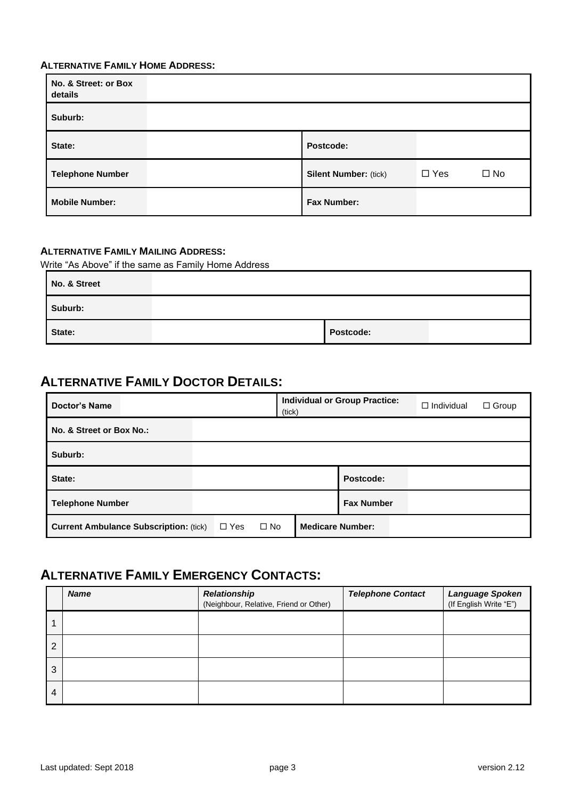### **ALTERNATIVE FAMILY HOME ADDRESS:**

| No. & Street: or Box<br>details |                              |               |              |
|---------------------------------|------------------------------|---------------|--------------|
| Suburb:                         |                              |               |              |
| State:                          | Postcode:                    |               |              |
| <b>Telephone Number</b>         | <b>Silent Number: (tick)</b> | $\square$ Yes | $\square$ No |
| <b>Mobile Number:</b>           | <b>Fax Number:</b>           |               |              |

### **ALTERNATIVE FAMILY MAILING ADDRESS:**

Write "As Above" if the same as Family Home Address

| No. & Street |           |  |
|--------------|-----------|--|
| Suburb:      |           |  |
| State:       | Postcode: |  |

### **ALTERNATIVE FAMILY DOCTOR DETAILS:**

| <b>Doctor's Name</b>                          | (tick)                     | <b>Individual or Group Practice:</b> | $\Box$ Individual<br>$\Box$ Group |
|-----------------------------------------------|----------------------------|--------------------------------------|-----------------------------------|
| No. & Street or Box No.:                      |                            |                                      |                                   |
| Suburb:                                       |                            |                                      |                                   |
| State:                                        |                            | Postcode:                            |                                   |
| <b>Telephone Number</b>                       |                            | <b>Fax Number</b>                    |                                   |
| <b>Current Ambulance Subscription: (tick)</b> | $\Box$ Yes<br>$\square$ No | <b>Medicare Number:</b>              |                                   |

# **ALTERNATIVE FAMILY EMERGENCY CONTACTS:**

|   | <b>Name</b> | <b>Relationship</b><br>(Neighbour, Relative, Friend or Other) | <b>Telephone Contact</b> | Language Spoken<br>(If English Write "E") |
|---|-------------|---------------------------------------------------------------|--------------------------|-------------------------------------------|
|   |             |                                                               |                          |                                           |
| 2 |             |                                                               |                          |                                           |
| 3 |             |                                                               |                          |                                           |
| 4 |             |                                                               |                          |                                           |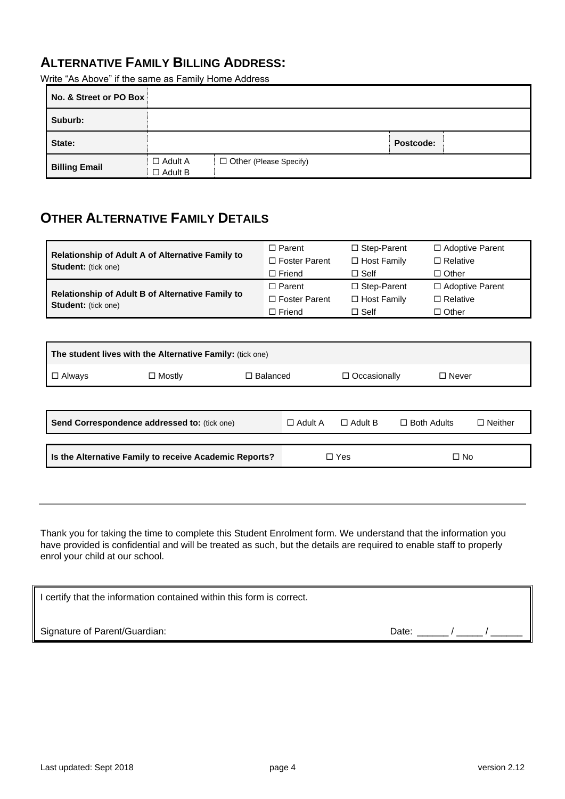### **ALTERNATIVE FAMILY BILLING ADDRESS:**

Write "As Above" if the same as Family Home Address

| No. & Street or PO Box |                                  |                               |           |  |
|------------------------|----------------------------------|-------------------------------|-----------|--|
| Suburb:                |                                  |                               |           |  |
| State:                 |                                  |                               | Postcode: |  |
| <b>Billing Email</b>   | $\Box$ Adult A<br>$\Box$ Adult B | $\Box$ Other (Please Specify) |           |  |

## **OTHER ALTERNATIVE FAMILY DETAILS**

|                                                                                | $\Box$ Parent        | $\Box$ Step-Parent | $\Box$ Adoptive Parent |
|--------------------------------------------------------------------------------|----------------------|--------------------|------------------------|
| Relationship of Adult A of Alternative Family to<br><b>Student:</b> (tick one) | $\Box$ Foster Parent | $\Box$ Host Family | $\Box$ Relative        |
|                                                                                | $\Box$ Friend        | $\Box$ Self        | $\Box$ Other           |
|                                                                                | $\Box$ Parent        | $\Box$ Step-Parent | $\Box$ Adoptive Parent |
| <b>Relationship of Adult B of Alternative Family to</b>                        | $\Box$ Foster Parent | $\Box$ Host Family | $\Box$ Relative        |
| <b>Student:</b> (tick one)                                                     | $\Box$ Friend        | $\Box$ Self        | $\Box$ Other           |

| The student lives with the Alternative Family: (tick one) |               |                 |                |                     |                    |                |  |  |
|-----------------------------------------------------------|---------------|-----------------|----------------|---------------------|--------------------|----------------|--|--|
| $\Box$ Always                                             | $\Box$ Mostly | $\Box$ Balanced |                | $\Box$ Occasionally | $\Box$ Never       |                |  |  |
|                                                           |               |                 |                |                     |                    |                |  |  |
| Send Correspondence addressed to: (tick one)              |               |                 | $\Box$ Adult A | $\Box$ Adult B      | $\Box$ Both Adults | $\Box$ Neither |  |  |
| Is the Alternative Family to receive Academic Reports?    |               | □ Yes           |                | $\square$ No        |                    |                |  |  |
|                                                           |               |                 |                |                     |                    |                |  |  |

Thank you for taking the time to complete this Student Enrolment form. We understand that the information you have provided is confidential and will be treated as such, but the details are required to enable staff to properly enrol your child at our school.

| I certify that the information contained within this form is correct. |       |  |  |  |  |
|-----------------------------------------------------------------------|-------|--|--|--|--|
| Signature of Parent/Guardian:                                         | Date: |  |  |  |  |